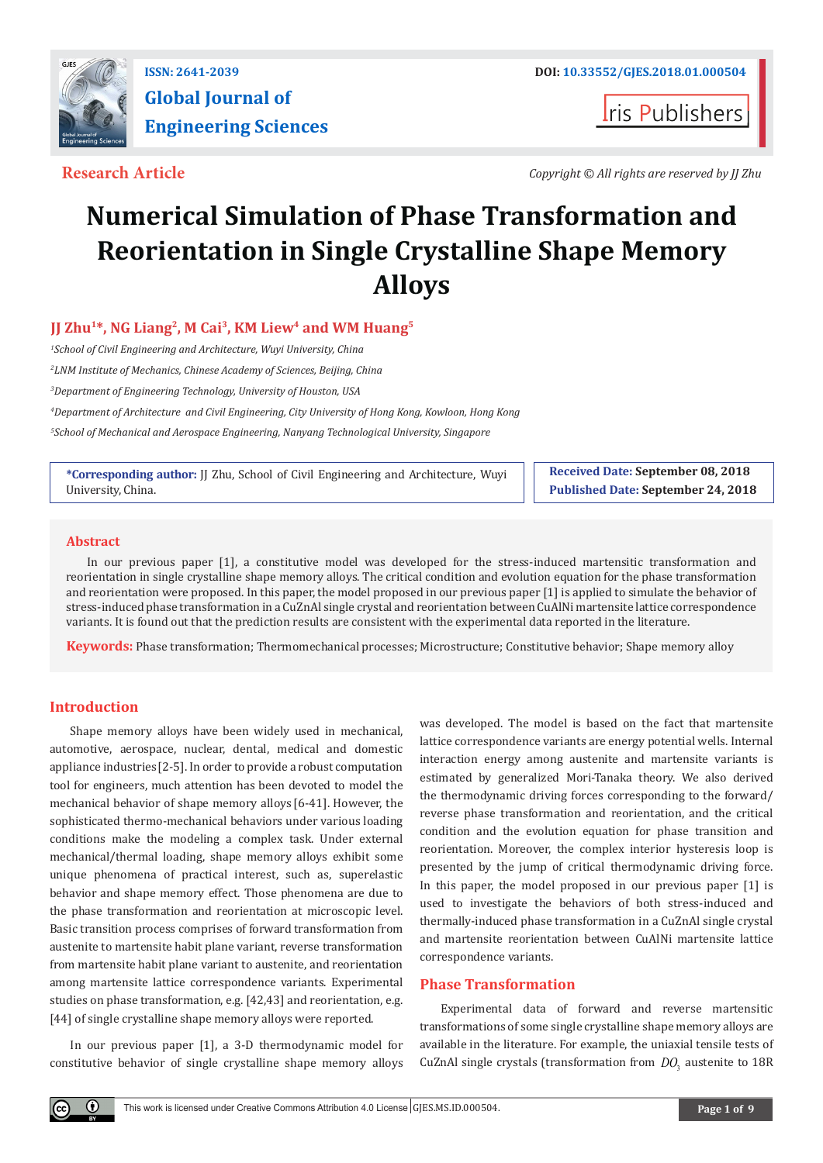

**Iris Publishers** 

**Research Article** *Copyright © All rights are reserved by JJ Zhu*

# **Numerical Simulation of Phase Transformation and Reorientation in Single Crystalline Shape Memory Alloys**

# **JJ Zhu1\*, NG Liang2, M Cai3, KM Liew4 and WM Huang5**

*1 School of Civil Engineering and Architecture, Wuyi University, China*

*2 LNM Institute of Mechanics, Chinese Academy of Sciences, Beijing, China*

*3 Department of Engineering Technology, University of Houston, USA*

*4 Department of Architecture and Civil Engineering, City University of Hong Kong, Kowloon, Hong Kong*

*5 School of Mechanical and Aerospace Engineering, Nanyang Technological University, Singapore*

**\*Corresponding author:** JJ Zhu, School of Civil Engineering and Architecture, Wuyi University, China.

**Received Date: September 08, 2018 Published Date: September 24, 2018**

### **Abstract**

In our previous paper [1], a constitutive model was developed for the stress-induced martensitic transformation and reorientation in single crystalline shape memory alloys. The critical condition and evolution equation for the phase transformation and reorientation were proposed. In this paper, the model proposed in our previous paper [1] is applied to simulate the behavior of stress-induced phase transformation in a CuZnAl single crystal and reorientation between CuAlNi martensite lattice correspondence variants. It is found out that the prediction results are consistent with the experimental data reported in the literature.

**Keywords:** Phase transformation; Thermomechanical processes; Microstructure; Constitutive behavior; Shape memory alloy

## **Introduction**

Shape memory alloys have been widely used in mechanical, automotive, aerospace, nuclear, dental, medical and domestic appliance industries[2-5]. In order to provide a robust computation tool for engineers, much attention has been devoted to model the mechanical behavior of shape memory alloys [6-41]. However, the sophisticated thermo-mechanical behaviors under various loading conditions make the modeling a complex task. Under external mechanical/thermal loading, shape memory alloys exhibit some unique phenomena of practical interest, such as, superelastic behavior and shape memory effect. Those phenomena are due to the phase transformation and reorientation at microscopic level. Basic transition process comprises of forward transformation from austenite to martensite habit plane variant, reverse transformation from martensite habit plane variant to austenite, and reorientation among martensite lattice correspondence variants. Experimental studies on phase transformation, e.g. [42,43] and reorientation, e.g. [44] of single crystalline shape memory alloys were reported.

In our previous paper [1], a 3-D thermodynamic model for constitutive behavior of single crystalline shape memory alloys was developed. The model is based on the fact that martensite lattice correspondence variants are energy potential wells. Internal interaction energy among austenite and martensite variants is estimated by generalized Mori-Tanaka theory. We also derived the thermodynamic driving forces corresponding to the forward/ reverse phase transformation and reorientation, and the critical condition and the evolution equation for phase transition and reorientation. Moreover, the complex interior hysteresis loop is presented by the jump of critical thermodynamic driving force. In this paper, the model proposed in our previous paper [1] is used to investigate the behaviors of both stress-induced and thermally-induced phase transformation in a CuZnAl single crystal and martensite reorientation between CuAlNi martensite lattice correspondence variants.

### **Phase Transformation**

Experimental data of forward and reverse martensitic transformations of some single crystalline shape memory alloys are available in the literature. For example, the uniaxial tensile tests of CuZnAl single crystals (transformation from *DO*<sub>2</sub> austenite to 18R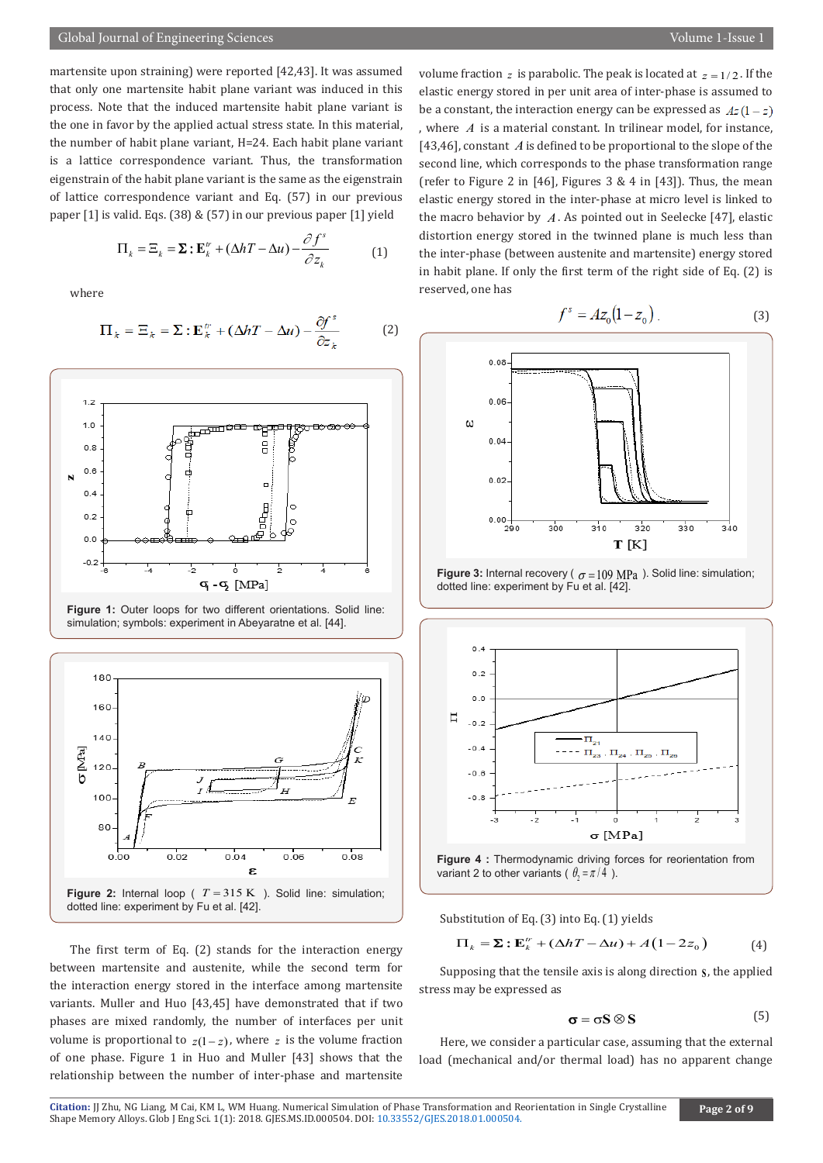martensite upon straining) were reported [42,43]. It was assumed that only one martensite habit plane variant was induced in this process. Note that the induced martensite habit plane variant is the one in favor by the applied actual stress state. In this material, the number of habit plane variant, H=24. Each habit plane variant is a lattice correspondence variant. Thus, the transformation eigenstrain of the habit plane variant is the same as the eigenstrain of lattice correspondence variant and Eq. (57) in our previous paper [1] is valid. Eqs. (38) & (57) in our previous paper [1] yield

$$
\Pi_k = \Xi_k = \Sigma : \mathbf{E}_k^{tr} + (\Delta h T - \Delta u) - \frac{\partial f^s}{\partial z_k} \tag{1}
$$

where

$$
\Pi_{\dot{x}} = \Xi_{\dot{x}} = \Sigma : \mathbf{E}_{\dot{x}}^{\prime\prime} + (\Delta hT - \Delta u) - \frac{\partial f^s}{\partial z_{\dot{x}}} \tag{2}
$$



Figure 1: Outer loops for two different orientations. Solid line: simulation; symbols: experiment in Abeyaratne et al. [44].



The first term of Eq. (2) stands for the interaction energy between martensite and austenite, while the second term for the interaction energy stored in the interface among martensite variants. Muller and Huo [43,45] have demonstrated that if two phases are mixed randomly, the number of interfaces per unit volume is proportional to  $z(1-z)$ , where z is the volume fraction of one phase. Figure 1 in Huo and Muller [43] shows that the relationship between the number of inter-phase and martensite

volume fraction z is parabolic. The peak is located at  $z = 1/2$ . If the elastic energy stored in per unit area of inter-phase is assumed to be a constant, the interaction energy can be expressed as  $Az(1-z)$ , where *A* is a material constant. In trilinear model, for instance, [43,46], constant *A* is defined to be proportional to the slope of the second line, which corresponds to the phase transformation range (refer to Figure 2 in [46], Figures  $3 \& 4$  in [43]). Thus, the mean elastic energy stored in the inter-phase at micro level is linked to the macro behavior by *A* . As pointed out in Seelecke [47], elastic distortion energy stored in the twinned plane is much less than the inter-phase (between austenite and martensite) energy stored in habit plane. If only the first term of the right side of Eq. (2) is reserved, one has

$$
f^{s} = Az_{0}(1 - z_{0}).
$$
 (3)



**Figure 3:** Internal recovery ( $\sigma = 109 \text{ MPa}$ ). Solid line: simulation; dotted line: experiment by Fu et al. [42].





Substitution of Eq. (3) into Eq. (1) yields

$$
\Pi_k = \mathbf{\Sigma} : \mathbf{E}_k^{\prime\prime} + (\Delta h T - \Delta u) + A(1 - 2z_0)
$$
 (4)

Supposing that the tensile axis is along direction **<sup>S</sup>** , the applied stress may be expressed as

$$
\sigma = \sigma S \otimes S \tag{5}
$$

Here, we consider a particular case, assuming that the external load (mechanical and/or thermal load) has no apparent change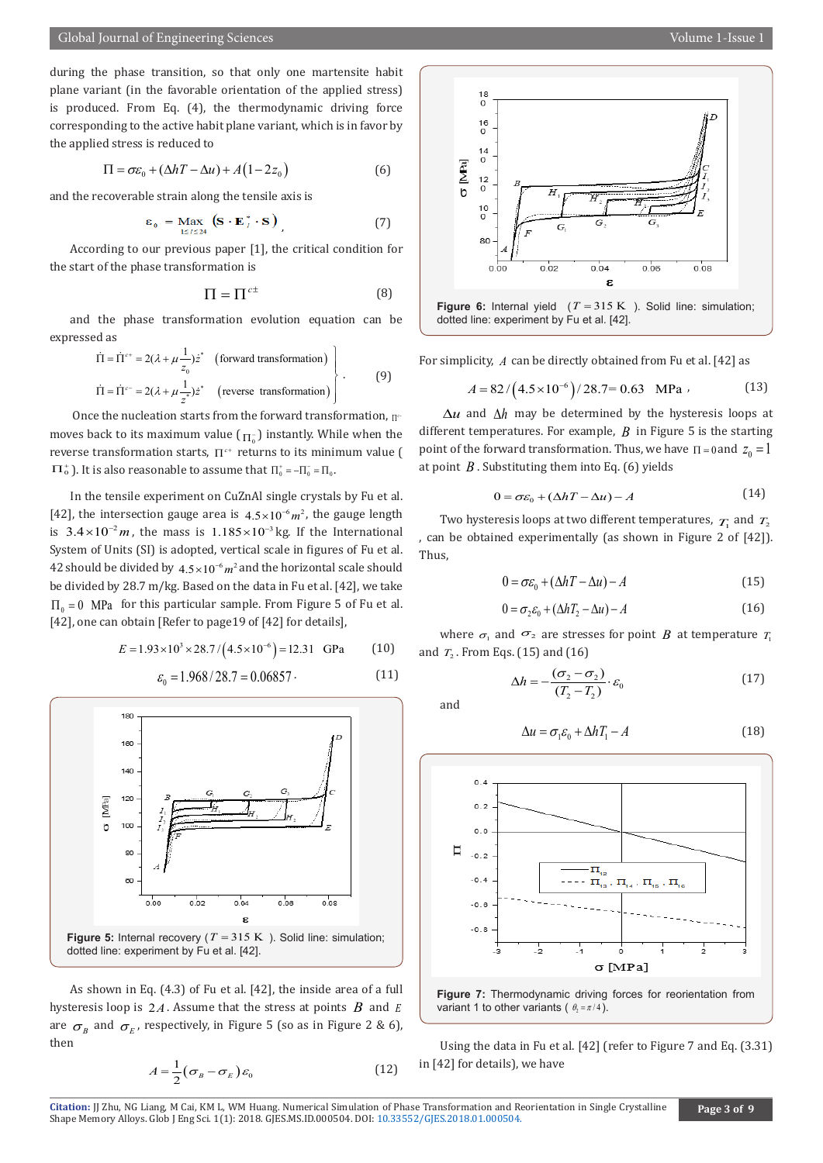$$
\Pi = \sigma \varepsilon_0 + (\Delta h T - \Delta u) + A(1 - 2z_0)
$$
\n(6)

and the recoverable strain along the tensile axis is

$$
\varepsilon_{0} = \max_{1 \leq l \leq 24} (\mathbf{S} \cdot \mathbf{E}_{l}^{*} \cdot \mathbf{S}) \tag{7}
$$

According to our previous paper [1], the critical condition for the start of the phase transformation is

$$
\Pi = \Pi^{c\pm} \tag{8}
$$

and the phase transformation evolution equation can be expressed as

$$
\overrightarrow{\Pi} = \overrightarrow{\Pi}^{c+} = 2(\lambda + \mu \frac{1}{z_0}) \overrightarrow{z}^*
$$
 (forward transformation)  
\n
$$
\overrightarrow{\Pi} = \overrightarrow{\Pi}^{c-} = 2(\lambda + \mu \frac{1}{z^*}) \overrightarrow{z}^*
$$
 (reverse transformation) (9)

Once the nucleation starts from the forward transformation,  $\Pi^c$ moves back to its maximum value ( $_{\Pi_0^-}$ ) instantly. While when the reverse transformation starts,  $\Pi^{c+}$  returns to its minimum value (  $\Pi_{\rm o}^+$ ). It is also reasonable to assume that  $\Pi_{\rm o}^+$  =  $-\Pi_{\rm o}^-$  =  $\Pi_{\rm o}$ .

In the tensile experiment on CuZnAl single crystals by Fu et al. [42], the intersection gauge area is  $4.5 \times 10^{-6} m^2$ , the gauge length is  $3.4 \times 10^{-2}$  *m*, the mass is 1.185 × 10<sup>-3</sup> kg. If the International System of Units (SI) is adopted, vertical scale in figures of Fu et al. 42 should be divided by  $4.5 \times 10^{-6} m^2$  and the horizontal scale should be divided by 28.7 m/kg. Based on the data in Fu et al. [42], we take  $\Pi_{0} = 0$  MPa for this particular sample. From Figure 5 of Fu et al. [42], one can obtain [Refer to page19 of [42] for details],

$$
E = 1.93 \times 10^3 \times 28.7 / (4.5 \times 10^{-6}) = 12.31 \text{ GPa}
$$
 (10)

$$
\varepsilon_0 = 1.968 / 28.7 = 0.06857 \tag{11}
$$



As shown in Eq. (4.3) of Fu et al. [42], the inside area of a full hysteresis loop is 2*A*. Assume that the stress at points *B* and *<sup>E</sup>* are  $\sigma_{\scriptscriptstyle R}$  and  $\sigma_{\scriptscriptstyle F}$ , respectively, in Figure 5 (so as in Figure 2 & 6), then

$$
A = \frac{1}{2} (\sigma_B - \sigma_E) \varepsilon_0 \tag{12}
$$



For simplicity, *A* can be directly obtained from Fu et al. [42] as

$$
A = 82 / (4.5 \times 10^{-6}) / 28.7 = 0.63 \text{ MPa}
$$
 (13)

∆*u* and ∆*h* may be determined by the hysteresis loops at different temperatures. For example,  $\hat{B}$  in Figure 5 is the starting point of the forward transformation. Thus, we have  $\Pi = 0$  and  $z_0 = 1$ at point  $B$ . Substituting them into Eq. (6) yields

$$
0 = \sigma \varepsilon_0 + (\Delta h T - \Delta u) - A \tag{14}
$$

Two hysteresis loops at two different temperatures,  $T_1$  and  $T_2$ , can be obtained experimentally (as shown in Figure 2 of [42]). Thus,

$$
0 = \sigma \varepsilon_0 + (\Delta h T - \Delta u) - A \tag{15}
$$

$$
0 = \sigma_2 \varepsilon_0 + (\Delta h T_2 - \Delta u) - A \tag{16}
$$

where  $\sigma_1$  and  $\sigma_2$  are stresses for point *B* at temperature  $T_1$ and  $T_2$ . From Eqs. (15) and (16)

$$
\Delta h = -\frac{(\sigma_2 - \sigma_2)}{(T_2 - T_2)} \cdot \varepsilon_0 \tag{17}
$$

and

$$
\Delta u = \sigma_1 \varepsilon_0 + \Delta h T_1 - A \tag{18}
$$



Using the data in Fu et al. [42] (refer to Figure 7 and Eq. (3.31) in [42] for details), we have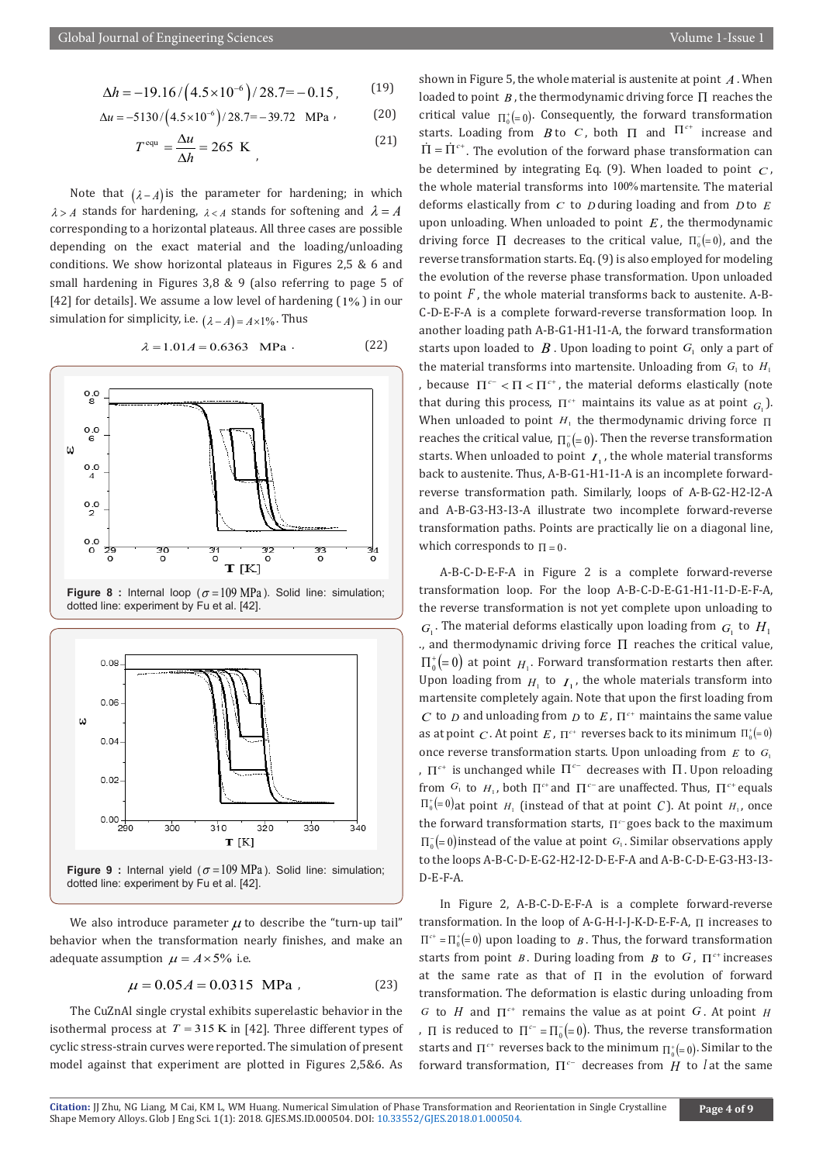$$
\Delta h = -19.16 / \left(4.5 \times 10^{-6}\right) / 28.7 = -0.15, \quad (19)
$$

$$
\Delta u = -5130 / (4.5 \times 10^{-6}) / 28.7 = -39.72 \text{ MPa} \tag{20}
$$

$$
Tequ = \frac{\Delta u}{\Delta h} = 265 \text{ K} \tag{21}
$$

Note that  $(\lambda - A)$  is the parameter for hardening; in which  $\lambda > A$  stands for hardening,  $\lambda < A$  stands for softening and  $\lambda = A$ corresponding to a horizontal plateaus. All three cases are possible depending on the exact material and the loading/unloading conditions. We show horizontal plateaus in Figures 2,5 & 6 and small hardening in Figures 3,8 & 9 (also referring to page 5 of [42] for details]. We assume a low level of hardening  $(1\%)$  in our simulation for simplicity, i.e.  $(\lambda - A) = A \times 1\%$ . Thus







dotted line: experiment by Fu et al. [42].

We also introduce parameter  $\mu$  to describe the "turn-up tail" behavior when the transformation nearly finishes, and make an adequate assumption  $\mu = A \times 5\%$  i.e.

$$
\mu = 0.05A = 0.0315 \text{ MPa} \tag{23}
$$

The CuZnAl single crystal exhibits superelastic behavior in the isothermal process at  $T = 315$  K in [42]. Three different types of cyclic stress-strain curves were reported. The simulation of present model against that experiment are plotted in Figures 2,5&6. As

shown in Figure 5, the whole material is austenite at point *A* . When loaded to point  $B$ , the thermodynamic driving force  $\Pi$  reaches the critical value  $\Pi^{\dagger}(\equiv 0)$ . Consequently, the forward transformation starts. Loading from *B* to *C*, both  $\Pi$  and  $\Pi^{c+}$  increase and  $\overline{\Pi} = \overline{\Pi}^{c+}$ . The evolution of the forward phase transformation can be determined by integrating Eq.  $(9)$ . When loaded to point  $C$ , the whole material transforms into 100% martensite. The material deforms elastically from *C* to *D* during loading and from *D* to *E* upon unloading. When unloaded to point *E* , the thermodynamic driving force  $\Pi$  decreases to the critical value,  $\Pi_0^-(=0)$ , and the reverse transformation starts. Eq. (9) is also employed for modeling the evolution of the reverse phase transformation. Upon unloaded to point *F* , the whole material transforms back to austenite. A-B-C-D-E-F-A is a complete forward-reverse transformation loop. In another loading path A-B-G1-H1-I1-A, the forward transformation starts upon loaded to  $B$ . Upon loading to point  $G_1$  only a part of the material transforms into martensite. Unloading from  $G_1$  to  $H_1$ , because  $\Pi^{c-}$  <  $\Pi$  <  $\Pi^{c+}$ , the material deforms elastically (note that during this process,  $\Pi^{c+}$  maintains its value as at point  $G_1$ ). When unloaded to point  $H_1$  the thermodynamic driving force  $\Pi$ reaches the critical value,  $\prod_{0} ( = 0)$ . Then the reverse transformation starts. When unloaded to point  $I_1$ , the whole material transforms back to austenite. Thus, A-B-G1-H1-I1-A is an incomplete forwardreverse transformation path. Similarly, loops of A-B-G2-H2-I2-A and A-B-G3-H3-I3-A illustrate two incomplete forward-reverse transformation paths. Points are practically lie on a diagonal line, which corresponds to  $\Pi = 0$ .

A-B-C-D-E-F-A in Figure 2 is a complete forward-reverse transformation loop. For the loop A-B-C-D-E-G1-H1-I1-D-E-F-A, the reverse transformation is not yet complete upon unloading to  $G_{\text{l}}$ . The material deforms elastically upon loading from  $G_{\text{l}}$  to  $H_{\text{l}}$ ., and thermodynamic driving force Π reaches the critical value,  $\prod_{0}^{+} (= 0)$  at point *H*<sub>1</sub>. Forward transformation restarts then after. Upon loading from  $H_1$  to  $I_1$ , the whole materials transform into martensite completely again. Note that upon the first loading from *C* to *D* and unloading from *D* to  $E$ ,  $\Pi^{c+}$  maintains the same value as at point *C*. At point *E*,  $\Pi^{c+}$  reverses back to its minimum  $\Pi_0^{\dagger} = 0$ once reverse transformation starts. Upon unloading from  $E$  to  $G$ . ,  $\Pi^{c+}$  is unchanged while  $\Pi^{c-}$  decreases with  $\Pi$ . Upon reloading from  $G_1$  to  $H_1$ , both  $\prod^{c+}$  and  $\prod^{c-}$  are unaffected. Thus,  $\prod^{c+}$  equals  $\Pi_0^{\dagger}$  = 0) at point *H*<sub>1</sub> (instead of that at point *C*). At point *H*<sub>1</sub>, once the forward transformation starts, Π<sup>c-</sup>goes back to the maximum  $\Pi_{0}^{-} (= 0)$  instead of the value at point *G*<sub>1</sub>. Similar observations apply to the loops A-B-C-D-E-G2-H2-I2-D-E-F-A and A-B-C-D-E-G3-H3-I3- D-E-F-A.

In Figure 2, A-B-C-D-E-F-A is a complete forward-reverse transformation. In the loop of A-G-H-I-J-K-D-E-F-A, Π increases to  $\Pi^{c+} = \Pi_0^+ ( = 0)$  upon loading to *B*. Thus, the forward transformation starts from point *B*. During loading from *B* to *G*,  $\Pi^{c+}$  increases at the same rate as that of  $\Pi$  in the evolution of forward transformation. The deformation is elastic during unloading from *G* to *H* and  $\Pi^{c+}$  remains the value as at point *G*. At point *H* ,  $\Pi$  is reduced to  $\Pi^{c-} = \Pi_0^-(= 0)$ . Thus, the reverse transformation starts and  $\Pi^{c+}$  reverses back to the minimum  $\Pi_{0}^{+}(=0)$ . Similar to the forward transformation,  $\Pi^{c}$  decreases from  $H$  to *l* at the same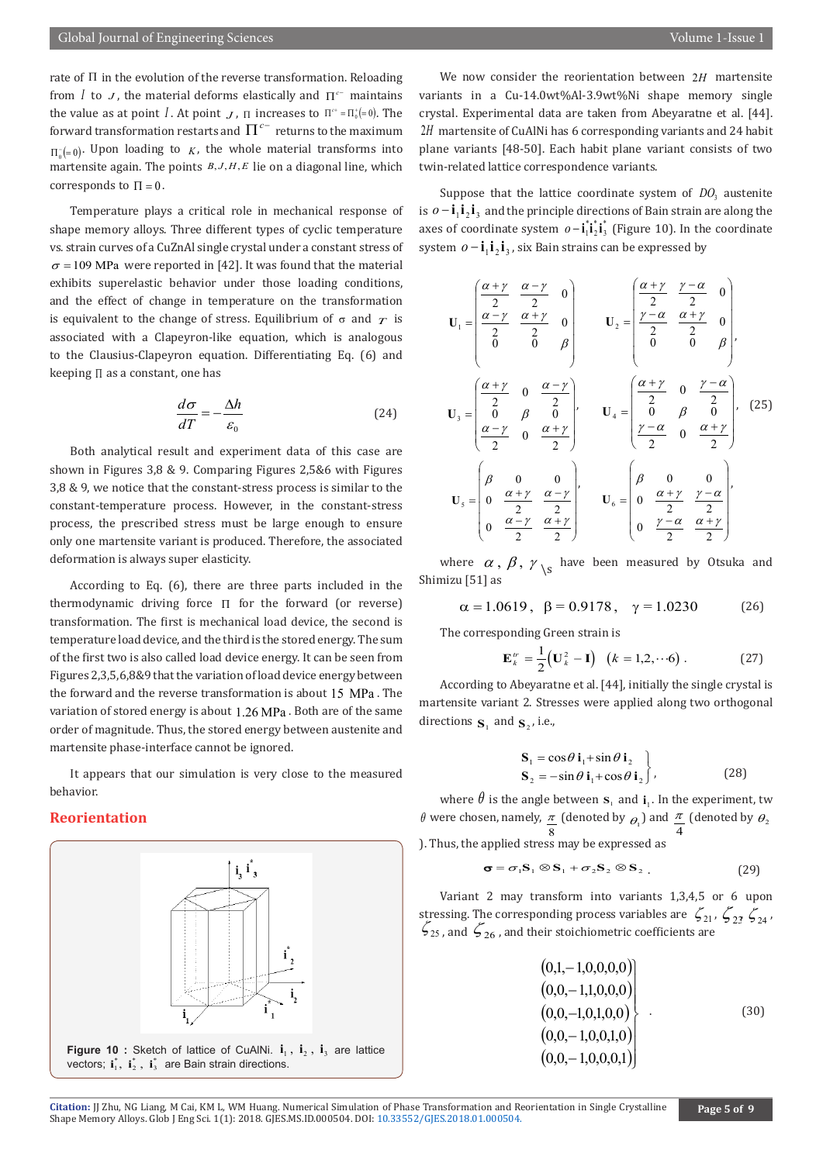rate of Π in the evolution of the reverse transformation. Reloading from *I* to *J*, the material deforms elastically and  $\Pi^{c}$  maintains the value as at point *I*. At point *J*,  $\Pi$  increases to  $\Pi^{c+} = \Pi_0^+ = 0$ . The forward transformation restarts and  $\Pi^{c-}$  returns to the maximum  $\Pi(z=0)$ . Upon loading to *K*, the whole material transforms into martensite again. The points  $B, J, H, E$  lie on a diagonal line, which corresponds to  $\Pi = 0$ .

Temperature plays a critical role in mechanical response of shape memory alloys. Three different types of cyclic temperature vs. strain curves of a CuZnAl single crystal under a constant stress of  $\sigma$  = 109 MPa were reported in [42]. It was found that the material exhibits superelastic behavior under those loading conditions, and the effect of change in temperature on the transformation is equivalent to the change of stress. Equilibrium of  $\sigma$  and  $\tau$  is associated with a Clapeyron-like equation, which is analogous to the Clausius-Clapeyron equation. Differentiating Eq. (6) and keeping Π as a constant, one has

$$
\frac{d\sigma}{dT} = -\frac{\Delta h}{\varepsilon_0} \tag{24}
$$

Both analytical result and experiment data of this case are shown in Figures 3,8 & 9. Comparing Figures 2,5&6 with Figures 3,8 & 9, we notice that the constant-stress process is similar to the constant-temperature process. However, in the constant-stress process, the prescribed stress must be large enough to ensure only one martensite variant is produced. Therefore, the associated deformation is always super elasticity.

According to Eq. (6), there are three parts included in the thermodynamic driving force Π for the forward (or reverse) transformation. The first is mechanical load device, the second is temperature load device, and the third is the stored energy. The sum of the first two is also called load device energy. It can be seen from Figures 2,3,5,6,8&9 that the variation of load device energy between the forward and the reverse transformation is about  $15 \text{ MPa}$ . The variation of stored energy is about 1.26 MPa . Both are of the same order of magnitude. Thus, the stored energy between austenite and martensite phase-interface cannot be ignored.

It appears that our simulation is very close to the measured behavior.

#### **Reorientation**



We now consider the reorientation between 2*H* martensite variants in a Cu-14.0wt%Al-3.9wt%Ni shape memory single crystal. Experimental data are taken from Abeyaratne et al. [44]. 2H martensite of CuAlNi has 6 corresponding variants and 24 habit plane variants [48-50]. Each habit plane variant consists of two twin-related lattice correspondence variants.

Suppose that the lattice coordinate system of  $DQ_3$  austenite is  $o - i_1 i_2 i_3$  and the principle directions of Bain strain are along the axes of coordinate system  $o - \mathbf{i}_1^* \mathbf{i}_2^* \mathbf{i}_3^*$  (Figure 10). In the coordinate system  $o - i_1 i_2 i_3$ , six Bain strains can be expressed by

$$
\mathbf{U}_{1} = \begin{pmatrix} \frac{\alpha + \gamma}{2} & \frac{\alpha - \gamma}{2} & 0 \\ \frac{\alpha - \gamma}{2} & \frac{\alpha + \gamma}{2} & 0 \\ 0 & 0 & \beta \end{pmatrix} \qquad \mathbf{U}_{2} = \begin{pmatrix} \frac{\alpha + \gamma}{2} & \frac{\gamma - \alpha}{2} & 0 \\ \frac{\gamma - \alpha}{2} & \frac{\alpha + \gamma}{2} & 0 \\ 0 & 0 & \beta \end{pmatrix},
$$
\n
$$
\mathbf{U}_{3} = \begin{pmatrix} \frac{\alpha + \gamma}{2} & 0 & \frac{\alpha - \gamma}{2} \\ \frac{\alpha - \gamma}{2} & 0 & \frac{\alpha + \gamma}{2} \\ \frac{\alpha - \gamma}{2} & 0 & \frac{\alpha + \gamma}{2} \end{pmatrix}, \qquad \mathbf{U}_{4} = \begin{pmatrix} \frac{\alpha + \gamma}{2} & 0 & \frac{\gamma - \alpha}{2} \\ \frac{\alpha}{2} & 0 & \frac{\alpha + \gamma}{2} \\ \frac{\gamma - \alpha}{2} & 0 & \frac{\alpha + \gamma}{2} \end{pmatrix}, \quad (25)
$$
\n
$$
\mathbf{U}_{5} = \begin{pmatrix} \beta & 0 & 0 \\ 0 & \frac{\alpha + \gamma}{2} & \frac{\alpha - \gamma}{2} \\ 0 & \frac{\alpha - \gamma}{2} & \frac{\alpha + \gamma}{2} \end{pmatrix}, \qquad \mathbf{U}_{6} = \begin{pmatrix} \beta & 0 & 0 \\ 0 & \frac{\alpha + \gamma}{2} & \frac{\gamma - \alpha}{2} \\ 0 & \frac{\gamma - \alpha}{2} & \frac{\alpha + \gamma}{2} \end{pmatrix},
$$

where  $\alpha$ ,  $\beta$ ,  $\gamma$ <sub>\s</sub> have been measured by Otsuka and Shimizu [51] as

$$
\alpha = 1.0619, \ \beta = 0.9178, \ \gamma = 1.0230
$$
 (26)

The corresponding Green strain is

$$
\mathbf{E}_k^{\prime\prime} = \frac{1}{2} \big( \mathbf{U}_k^2 - \mathbf{I} \big) \quad (k = 1, 2, \cdots 6) \ . \tag{27}
$$

 According to Abeyaratne et al. [44], initially the single crystal is martensite variant 2. Stresses were applied along two orthogonal directions  $\mathbf{S}_1$  and  $\mathbf{S}_2$ , i.e.,

$$
\begin{aligned} \mathbf{S}_1 &= \cos\theta \, \mathbf{i}_1 + \sin\theta \, \mathbf{i}_2 \\ \mathbf{S}_2 &= -\sin\theta \, \mathbf{i}_1 + \cos\theta \, \mathbf{i}_2 \end{aligned} \bigg\},\tag{28}
$$

where  $\theta$  is the angle between  $\mathbf{s}_1$  and  $\mathbf{i}_1$ . In the experiment, two  $\theta$  were chosen, namely,  $\frac{\pi}{8}$  (denoted by  $\theta_1$ ) and  $\frac{\pi}{4}$ 8  $\frac{\pi}{\Gamma}$  (denoted by  $\theta_2$ ). Thus, the applied stress may be expressed as

$$
\sigma = \sigma_1 \mathbf{S}_1 \otimes \mathbf{S}_1 + \sigma_2 \mathbf{S}_2 \otimes \mathbf{S}_2 . \tag{29}
$$

Variant 2 may transform into variants 1,3,4,5 or 6 upon stressing. The corresponding process variables are  $\zeta_{21}, \zeta_{22}, \zeta_{24}$ ,  $\zeta_{25}$ , and  $\zeta_{26}$ , and their stoichiometric coefficients are

$$
(0,1,-1,0,0,0,0)(0,0,-1,1,0,0,0)(0,0,-1,0,1,0,0)(0,0,-1,0,0,1,0)(0,0,-1,0,0,0,1)
$$
\n(30)

**Citation:** JJ Zhu, NG Liang, M Cai, KM L, WM Huang. Numerical Simulatio[n of Phase Transformation and R](http://dx.doi.org/10.33552/GJES.2018.01.000504)eorientation in Single Crystalline Shape Memory Alloys. Glob J Eng Sci. 1(1): 2018. GJES.MS.ID.000504. DOI: 10.33552/GJES.2018.01.000504.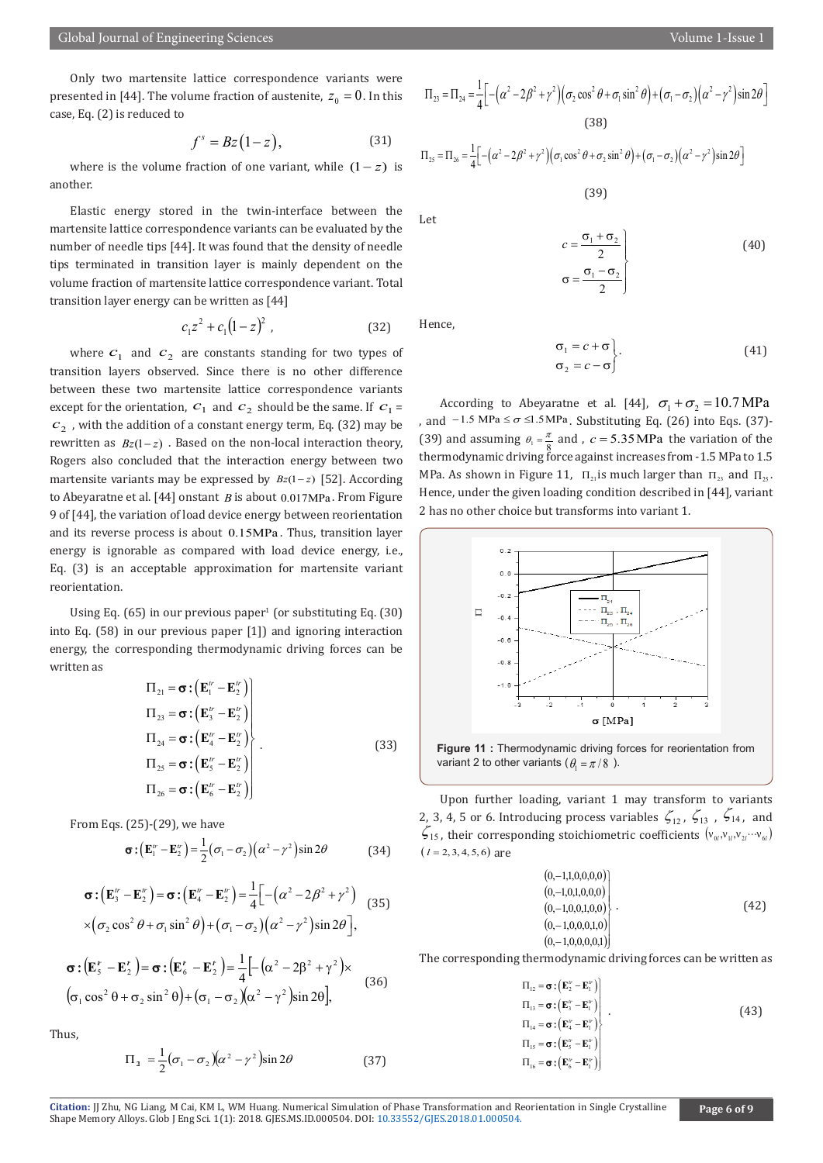Only two martensite lattice correspondence variants were presented in [44]. The volume fraction of austenite,  $z_0 = 0$ . In this case, Eq. (2) is reduced to

$$
f^s = Bz(1-z), \tag{31}
$$

where is the volume fraction of one variant, while  $(1-z)$  is another.

Elastic energy stored in the twin-interface between the martensite lattice correspondence variants can be evaluated by the number of needle tips [44]. It was found that the density of needle tips terminated in transition layer is mainly dependent on the volume fraction of martensite lattice correspondence variant. Total transition layer energy can be written as [44]

$$
c_1 z^2 + c_1 (1 - z)^2 \tag{32}
$$

where  $c_1$  and  $c_2$  are constants standing for two types of transition layers observed. Since there is no other difference between these two martensite lattice correspondence variants except for the orientation,  $c_1$  and  $c_2$  should be the same. If  $c_1$  =  $c<sub>2</sub>$ , with the addition of a constant energy term, Eq. (32) may be rewritten as  $Bz(1-z)$ . Based on the non-local interaction theory, Rogers also concluded that the interaction energy between two martensite variants may be expressed by  $Bz(1-z)$  [52]. According to Abeyaratne et al. [44] onstant *B* is about 0.017MPa . From Figure 9 of [44], the variation of load device energy between reorientation and its reverse process is about 0.15MPa . Thus, transition layer energy is ignorable as compared with load device energy, i.e., Eq. (3) is an acceptable approximation for martensite variant reorientation.

Using Eq. (65) in our previous paper<sup>1</sup> (or substituting Eq. (30) into Eq. (58) in our previous paper [1]) and ignoring interaction energy, the corresponding thermodynamic driving forces can be written as

$$
\Pi_{21} = \boldsymbol{\sigma} : (\mathbf{E}_1^{\prime\prime} - \mathbf{E}_2^{\prime\prime})
$$
\n
$$
\Pi_{23} = \boldsymbol{\sigma} : (\mathbf{E}_3^{\prime\prime} - \mathbf{E}_2^{\prime\prime})
$$
\n
$$
\Pi_{24} = \boldsymbol{\sigma} : (\mathbf{E}_4^{\prime\prime} - \mathbf{E}_2^{\prime\prime})
$$
\n
$$
\Pi_{25} = \boldsymbol{\sigma} : (\mathbf{E}_5^{\prime\prime} - \mathbf{E}_2^{\prime\prime})
$$
\n
$$
\Pi_{26} = \boldsymbol{\sigma} : (\mathbf{E}_6^{\prime\prime} - \mathbf{E}_2^{\prime\prime})
$$
\n(33)

From Eqs. (25)-(29), we have

$$
\boldsymbol{\sigma} \cdot (\mathbf{E}_1^{\prime\prime} - \mathbf{E}_2^{\prime\prime}) = \frac{1}{2} (\sigma_1 - \sigma_2) (\alpha^2 - \gamma^2) \sin 2\theta \tag{34}
$$

$$
\boldsymbol{\sigma} : (\mathbf{E}_{3}^{n} - \mathbf{E}_{2}^{n}) = \boldsymbol{\sigma} : (\mathbf{E}_{4}^{n} - \mathbf{E}_{2}^{n}) = \frac{1}{4} \Big[ -(\alpha^{2} - 2\beta^{2} + \gamma^{2}) \Big]
$$
  
 
$$
\times (\sigma_{2} \cos^{2} \theta + \sigma_{1} \sin^{2} \theta) + (\sigma_{1} - \sigma_{2}) (\alpha^{2} - \gamma^{2}) \sin 2\theta \Big],
$$
 (35)

$$
\boldsymbol{\sigma} : (\mathbf{E}_{5}^{r} - \mathbf{E}_{2}^{r}) = \boldsymbol{\sigma} : (\mathbf{E}_{6}^{r} - \mathbf{E}_{2}^{r}) = \frac{1}{4} \left[ -(\alpha^{2} - 2\beta^{2} + \gamma^{2}) \times \right] \times \left( \sigma_{1} \cos^{2} \theta + \sigma_{2} \sin^{2} \theta \right) + (\sigma_{1} - \sigma_{2}) (\alpha^{2} - \gamma^{2}) \sin 2\theta \right],
$$
\n(36)

Thus,

$$
\Pi_1 = \frac{1}{2} (\sigma_1 - \sigma_2)(\alpha^2 - \gamma^2) \sin 2\theta \tag{37}
$$

$$
\Pi_{23} = \Pi_{24} = \frac{1}{4} \Big[ -(\alpha^2 - 2\beta^2 + \gamma^2) \Big( \sigma_2 \cos^2 \theta + \sigma_1 \sin^2 \theta \Big) + (\sigma_1 - \sigma_2) \Big( \alpha^2 - \gamma^2 \Big) \sin 2\theta \Big]
$$
\n(38)

 $\Pi_{25} = \Pi_{26} = \frac{1}{4} \Big[ -(\alpha^2 - 2\beta^2 + \gamma^2)(\sigma_1 \cos^2 \theta + \sigma_2 \sin^2 \theta) + (\sigma_1 - \sigma_2)(\alpha^2 - \gamma^2) \sin 2\theta \Big]$ (39)

$$
c = \frac{\sigma_1 + \sigma_2}{2}
$$
  
\n
$$
\sigma = \frac{\sigma_1 - \sigma_2}{2}
$$
 (40)

Hence,

Let

$$
\sigma_1 = c + \sigma \n\sigma_2 = c - \sigma
$$
\n(41)

According to Abeyaratne et al. [44],  $\sigma_1 + \sigma_2 = 10.7 \text{ MPa}$ , and  $-1.5$  MPa ≤  $\sigma$  ≤1.5 MPa. Substituting Eq. (26) into Eqs. (37)-(39) and assuming  $\theta_1 = \frac{\pi}{8}$  and ,  $c = 5.35 \text{ MPa}$  the variation of the thermodynamic driving force against increases from -1.5 MPa to 1.5 MPa. As shown in Figure 11,  $\Pi_{21}$  is much larger than  $\Pi_{23}$  and  $\Pi_{25}$ . Hence, under the given loading condition described in [44], variant 2 has no other choice but transforms into variant 1.



**Figure 11 :** Thermodynamic driving forces for reorientation from variant 2 to other variants ( $\theta_1 = \pi / 8$ ).

Upon further loading, variant 1 may transform to variants 2, 3, 4, 5 or 6. Introducing process variables  $\zeta_{12}$ ,  $\zeta_{13}$ ,  $\zeta_{14}$ , and  $\zeta_{15}$ , their corresponding stoichiometric coefficients  $(v_{0l}, v_{1l}, v_{2l} \cdots v_{6l})$  $(l = 2, 3, 4, 5, 6)$  are

$$
(0,-1,1,0,0,0,0)(0,-1,0,1,0,0,0)(0,-1,0,0,1,0,0)(0,-1,0,0,0,1,0)(0,-1,0,0,0,0,1)
$$
\n(42)

The corresponding thermodynamic driving forces can be written as

$$
\Pi_{12} = \sigma : (E_2'' - E_1'') \n\Pi_{13} = \sigma : (E_3'' - E_1'') \n\Pi_{14} = \sigma : (E_4'' - E_1'') \n\Pi_{15} = \sigma : (E_5'' - E_1'')
$$
\n
$$
\Pi_{16} = \sigma : (E_6'' - E_1'')
$$
\n(43)

Citation: JJ Zhu, NG Liang, M Cai, KM L, WM Huang. Numerical Simulatio[n of Phase Transformation and R](http://dx.doi.org/10.33552/GJES.2018.01.000504)eorientation in Single Crystalline<br>Shape Memory Alloys. Glob J Eng Sci. 1(1): 2018. GJES.MS.ID.000504. DOI: 10.33552/GJES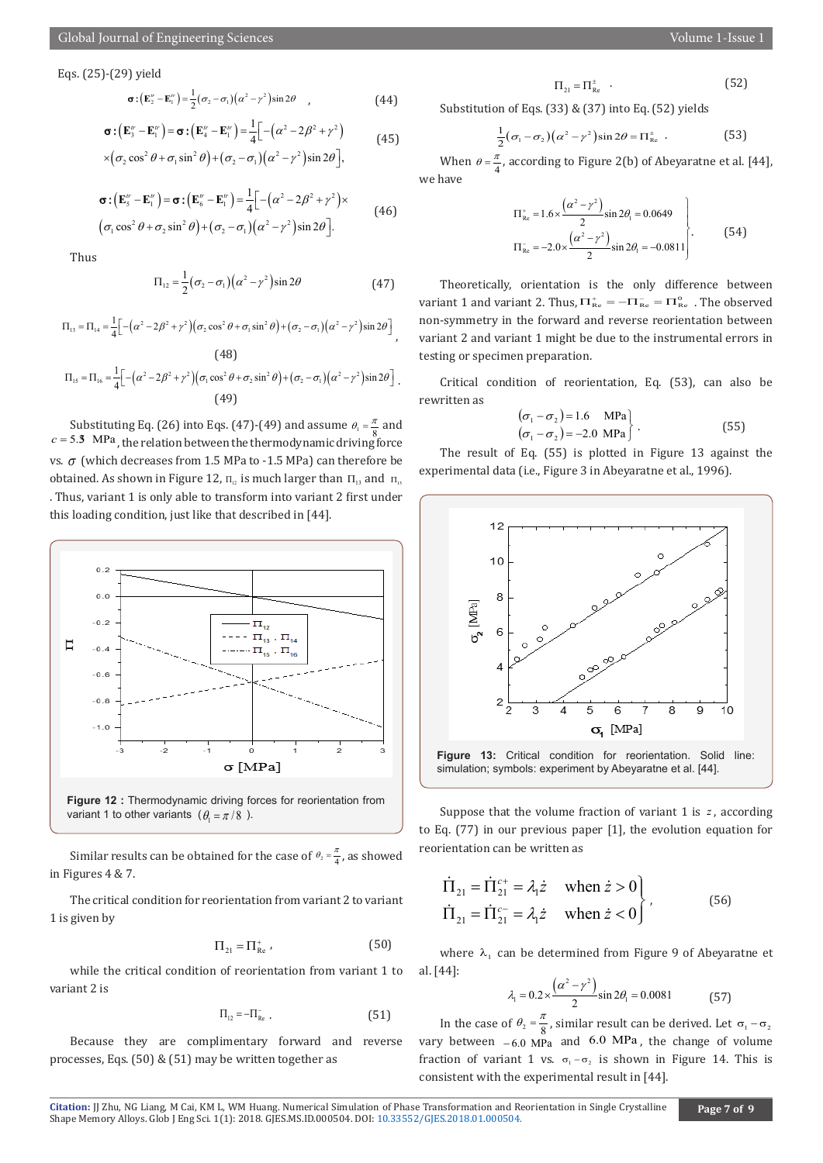Eqs. (25)-(29) yield

$$
\boldsymbol{\sigma} \cdot (\mathbf{E}_2^{\prime\prime} - \mathbf{E}_1^{\prime\prime}) = \frac{1}{2} (\sigma_2 - \sigma_1) (\alpha^2 - \gamma^2) \sin 2\theta \qquad , \qquad (44)
$$

$$
\sigma : (\mathbf{E}_{3}^{w} - \mathbf{E}_{1}^{w}) = \sigma : (\mathbf{E}_{4}^{w} - \mathbf{E}_{1}^{w}) = \frac{1}{4} [-(\alpha^{2} - 2\beta^{2} + \gamma^{2})
$$
  
\n
$$
\times (\sigma_{2} \cos^{2} \theta + \sigma_{1} \sin^{2} \theta) + (\sigma_{2} - \sigma_{1}) (\alpha^{2} - \gamma^{2}) \sin 2\theta],
$$
\n(45)

$$
\boldsymbol{\sigma} : (\mathbf{E}_{s}^{w} - \mathbf{E}_{1}^{w}) = \boldsymbol{\sigma} : (\mathbf{E}_{s}^{w} - \mathbf{E}_{1}^{w}) = \frac{1}{4} \Big[ -(\alpha^{2} - 2\beta^{2} + \gamma^{2}) \times
$$
  
\n
$$
(\sigma_{1} \cos^{2} \theta + \sigma_{2} \sin^{2} \theta) + (\sigma_{2} - \sigma_{1}) (\alpha^{2} - \gamma^{2}) \sin 2\theta \Big].
$$
\n(46)

Thus

$$
\Pi_{12} = \frac{1}{2} (\sigma_2 - \sigma_1) (\alpha^2 - \gamma^2) \sin 2\theta \tag{47}
$$

$$
\Pi_{13} = \Pi_{14} = \frac{1}{4} \Big[ -(\alpha^2 - 2\beta^2 + \gamma^2) \Big( \sigma_2 \cos^2 \theta + \sigma_1 \sin^2 \theta \Big) + (\sigma_2 - \sigma_1) \Big( \alpha^2 - \gamma^2 \Big) \sin 2\theta \Big],
$$
\n(48)

$$
\Pi_{15} = \Pi_{16} = \frac{1}{4} \Big[ -(\alpha^2 - 2\beta^2 + \gamma^2) \Big( \sigma_1 \cos^2 \theta + \sigma_2 \sin^2 \theta \Big) + (\sigma_2 - \sigma_1) (\alpha^2 - \gamma^2) \sin 2\theta \Big].
$$
\n(49)

Substituting Eq. (26) into Eqs. (47)-(49) and assume  $\theta_1 = \frac{\pi}{8}$  and  $c = 5.3$  MPa, the relation between the thermodynamic driving force vs. σ (which decreases from 1.5 MPa to -1.5 MPa) can therefore be obtained. As shown in Figure 12,  $\Pi_p$  is much larger than  $\Pi_p$  and  $\Pi_p$ . Thus, variant 1 is only able to transform into variant 2 first under this loading condition, just like that described in [44].



Similar results can be obtained for the case of  $\theta_2 = \frac{\pi}{4}$ , as showed in Figures 4 & 7.

The critical condition for reorientation from variant 2 to variant 1 is given by

$$
\Pi_{21} = \Pi_{\text{Re}}^+ \tag{50}
$$

while the critical condition of reorientation from variant 1 to variant 2 is

$$
\Pi_{12} = -\Pi_{Re} \tag{51}
$$

Because they are complimentary forward and reverse processes, Eqs. (50) & (51) may be written together as

Substitution of Eqs. (33) & (37) into Eq. (52) yields

$$
\frac{1}{2}(\sigma_1 - \sigma_2)(\alpha^2 - \gamma^2)\sin 2\theta = \Pi_{\text{Re}}^{\pm} . \tag{53}
$$

When  $\theta = \frac{\pi}{4}$ , according to Figure 2(b) of Abeyaratne et al. [44], we have

$$
\Pi_{\text{Re}}^{+} = 1.6 \times \frac{(\alpha^{2} - \gamma^{2})}{2} \sin 2\theta_{1} = 0.0649
$$
\n
$$
\Pi_{\text{Re}}^{-} = -2.0 \times \frac{(\alpha^{2} - \gamma^{2})}{2} \sin 2\theta_{1} = -0.0811
$$
\n(54)

Theoretically, orientation is the only difference between variant 1 and variant 2. Thus,  $\Pi_{\text{Re}}^+ = -\Pi_{\text{Re}}^- = \Pi_{\text{Re}}^0$ . The observed non-symmetry in the forward and reverse reorientation between variant 2 and variant 1 might be due to the instrumental errors in testing or specimen preparation.

Critical condition of reorientation, Eq. (53), can also be rewritten as

$$
(\sigma_1 - \sigma_2) = 1.6 \text{ MPa} (\sigma_1 - \sigma_2) = -2.0 \text{ MPa} \qquad (55)
$$

 The result of Eq. (55) is plotted in Figure 13 against the experimental data (i.e., Figure 3 in Abeyaratne et al., 1996).



Suppose that the volume fraction of variant 1 is *z* , according to Eq. (77) in our previous paper [1], the evolution equation for reorientation can be written as

$$
\begin{aligned}\n\dot{\Pi}_{21} &= \dot{\Pi}_{21}^{c+} = \lambda_1 \dot{z} \quad \text{when } \dot{z} > 0 \\
\dot{\Pi}_{21} &= \dot{\Pi}_{21}^{c-} = \lambda_1 \dot{z} \quad \text{when } \dot{z} < 0\n\end{aligned} \tag{56}
$$

where  $\lambda_1$  can be determined from Figure 9 of Abeyaratne et al. [44]:

$$
\lambda_1 = 0.2 \times \frac{(\alpha^2 - \gamma^2)}{2} \sin 2\theta_1 = 0.0081
$$
 (57)

In the case of  $\theta_2 = \frac{\pi}{8}$ , similar result can be derived. Let  $\sigma_1 - \sigma_2$ vary between  $-6.0$  MPa and 6.0 MPa, the change of volume fraction of variant 1 vs.  $\sigma_1 - \sigma_2$  is shown in Figure 14. This is consistent with the experimental result in [44].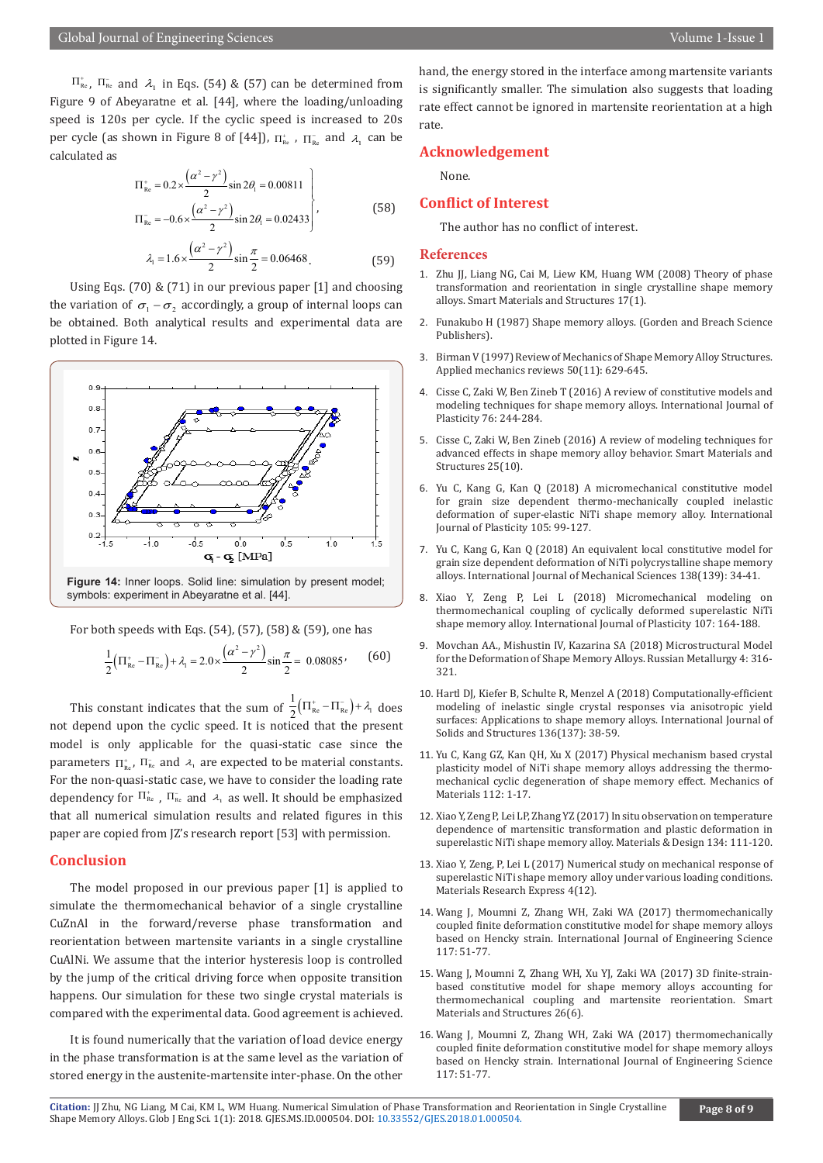$\Pi_{\text{Re}}^*$ ,  $\Pi_{\text{Re}}^*$  and  $\lambda_1$  in Eqs. (54) & (57) can be determined from Figure 9 of Abeyaratne et al. [44], where the loading/unloading speed is 120s per cycle. If the cyclic speed is increased to 20s per cycle (as shown in Figure 8 of [44]),  $\Pi_{\text{Re}}^*$ ,  $\Pi_{\text{Re}}^-$  and  $\lambda_1$  can be calculated as

$$
\Pi_{\text{Re}}^{+} = 0.2 \times \frac{(\alpha^{2} - \gamma^{2})}{2} \sin 2\theta_{1} = 0.00811
$$
\n
$$
\Pi_{\text{Re}}^{-} = -0.6 \times \frac{(\alpha^{2} - \gamma^{2})}{2} \sin 2\theta_{1} = 0.02433
$$
\n(58)

$$
\lambda_1 = 1.6 \times \frac{\left(\alpha^2 - \gamma^2\right)}{2} \sin \frac{\pi}{2} = 0.06468\,. \tag{59}
$$

Using Eqs. (70)  $\&$  (71) in our previous paper [1] and choosing the variation of  $\sigma_1 - \sigma_2$  accordingly, a group of internal loops can be obtained. Both analytical results and experimental data are plotted in Figure 14.



symbols: experiment in Abeyaratne et al. [44].

For both speeds with Eqs. (54), (57), (58) & (59), one has

$$
\frac{1}{2} \left( \Pi_{\text{Re}}^{+} - \Pi_{\text{Re}}^{-} \right) + \lambda_{1} = 2.0 \times \frac{\left( \alpha^{2} - \gamma^{2} \right)}{2} \sin \frac{\pi}{2} = 0.08085 \tag{60}
$$

This constant indicates that the sum of  $\frac{1}{2} (\Pi_{\text{Re}}^+ - \Pi_{\text{Re}}^-) + \lambda_1$  does not depend upon the cyclic speed. It is noticed that the present model is only applicable for the quasi-static case since the parameters  $\Pi_{\text{Re}}^*$ ,  $\Pi_{\text{Re}}^-$  and  $\lambda_1$  are expected to be material constants. For the non-quasi-static case, we have to consider the loading rate dependency for  $\Pi^*_\text{\tiny Re}$  ,  $\Pi^-_\text{\tiny Re}$  and  $\lambda_1$  as well. It should be emphasized that all numerical simulation results and related figures in this paper are copied from JZ's research report [53] with permission.

#### **Conclusion**

The model proposed in our previous paper [1] is applied to simulate the thermomechanical behavior of a single crystalline CuZnAl in the forward/reverse phase transformation and reorientation between martensite variants in a single crystalline CuAlNi. We assume that the interior hysteresis loop is controlled by the jump of the critical driving force when opposite transition happens. Our simulation for these two single crystal materials is compared with the experimental data. Good agreement is achieved.

It is found numerically that the variation of load device energy in the phase transformation is at the same level as the variation of stored energy in the austenite-martensite inter-phase. On the other hand, the energy stored in the interface among martensite variants is significantly smaller. The simulation also suggests that loading rate effect cannot be ignored in martensite reorientation at a high rate.

#### **Acknowledgement**

None.

#### **Conflict of Interest**

The author has no conflict of interest.

#### **References**

- 1. [Zhu JJ, Liang NG, Cai M, Liew KM, Huang WM \(2008\) Theory of phase](http://iopscience.iop.org/article/10.1088/0964-1726/17/01/015041/meta) [transformation and reorientation in single crystalline shape memory](http://iopscience.iop.org/article/10.1088/0964-1726/17/01/015041/meta) [alloys. Smart Materials and Structures 17\(1\).](http://iopscience.iop.org/article/10.1088/0964-1726/17/01/015041/meta)
- 2. Funakubo H (1987) Shape memory alloys. (Gorden and Breach Science Publishers).
- 3. [Birman V \(1997\) Review of Mechanics of Shape Memory Alloy Structures.](http://appliedmechanicsreviews.asmedigitalcollection.asme.org/article.aspx?articleid=1396019) [Applied mechanics reviews 50\(11\): 629-645.](http://appliedmechanicsreviews.asmedigitalcollection.asme.org/article.aspx?articleid=1396019)
- 4. [Cisse C, Zaki W, Ben Zineb T \(2016\) A review of constitutive models and](https://hal.archives-ouvertes.fr/hal-01415862/) [modeling techniques for shape memory alloys. International Journal of](https://hal.archives-ouvertes.fr/hal-01415862/) [Plasticity 76: 244-284.](https://hal.archives-ouvertes.fr/hal-01415862/)
- 5. [Cisse C, Zaki W, Ben Zineb \(2016\) A review of modeling techniques for](http://iopscience.iop.org/article/10.1088/0964-1726/25/10/103001/pdf) [advanced effects in shape memory alloy behavior. Smart Materials and](http://iopscience.iop.org/article/10.1088/0964-1726/25/10/103001/pdf) [Structures 25\(10\).](http://iopscience.iop.org/article/10.1088/0964-1726/25/10/103001/pdf)
- 6. [Yu C, Kang G, Kan Q \(2018\) A micromechanical constitutive model](https://translate.google.com/translate?hl=en&sl=zh-CN&u=http://www.x-mol.com/paper/575956&prev=search) [for grain size dependent thermo-mechanically coupled inelastic](https://translate.google.com/translate?hl=en&sl=zh-CN&u=http://www.x-mol.com/paper/575956&prev=search) [deformation of super-elastic NiTi shape memory alloy. International](https://translate.google.com/translate?hl=en&sl=zh-CN&u=http://www.x-mol.com/paper/575956&prev=search) [Journal of Plasticity 105: 99-127.](https://translate.google.com/translate?hl=en&sl=zh-CN&u=http://www.x-mol.com/paper/575956&prev=search)
- 7. [Yu C, Kang G, Kan Q \(2018\) An equivalent local constitutive model for](https://www.sciencedirect.com/science/article/pii/S0020740317327121) [grain size dependent deformation of NiTi polycrystalline shape memory](https://www.sciencedirect.com/science/article/pii/S0020740317327121) [alloys. International Journal of Mechanical Sciences 138\(139\): 34-41.](https://www.sciencedirect.com/science/article/pii/S0020740317327121)
- 8. [Xiao Y, Zeng P, Lei L \(2018\) Micromechanical modeling on](https://www.sciencedirect.com/science/article/pii/S0749641918300378) [thermomechanical coupling of cyclically deformed superelastic NiTi](https://www.sciencedirect.com/science/article/pii/S0749641918300378) [shape memory alloy. International Journal of Plasticity 107: 164-188.](https://www.sciencedirect.com/science/article/pii/S0749641918300378)
- 9. [Movchan AA., Mishustin IV, Kazarina SA \(2018\) Microstructural Model](https://link.springer.com/article/10.1134/S0036029518040080) [for the Deformation of Shape Memory Alloys. Russian Metallurgy 4: 316-](https://link.springer.com/article/10.1134/S0036029518040080) [321.](https://link.springer.com/article/10.1134/S0036029518040080)
- 10. [Hartl DJ, Kiefer B, Schulte R, Menzel A \(2018\) Computationally-efficient](https://www.sciencedirect.com/science/article/pii/S0020768317305371) [modeling of inelastic single crystal responses via anisotropic yield](https://www.sciencedirect.com/science/article/pii/S0020768317305371) [surfaces: Applications to shape memory alloys. International Journal of](https://www.sciencedirect.com/science/article/pii/S0020768317305371) [Solids and Structures 136\(137\): 38-59.](https://www.sciencedirect.com/science/article/pii/S0020768317305371)
- 11. [Yu C, Kang GZ, Kan QH, Xu X \(2017\) Physical mechanism based crystal](https://www.infona.pl/resource/bwmeta1.element.elsevier-f10ddd73-2b33-30af-a6a6-f56d58822fe0) [plasticity model of NiTi shape memory alloys addressing the thermo](https://www.infona.pl/resource/bwmeta1.element.elsevier-f10ddd73-2b33-30af-a6a6-f56d58822fe0)[mechanical cyclic degeneration of shape memory effect. Mechanics of](https://www.infona.pl/resource/bwmeta1.element.elsevier-f10ddd73-2b33-30af-a6a6-f56d58822fe0) [Materials 112: 1-17.](https://www.infona.pl/resource/bwmeta1.element.elsevier-f10ddd73-2b33-30af-a6a6-f56d58822fe0)
- 12. [Xiao Y, Zeng P, Lei LP, Zhang YZ \(2017\) In situ observation on temperature](https://www.deepdyve.com/lp/elsevier/in-situ-observation-on-temperature-dependence-of-martensitic-2kkElNLZE2?impressionId=5afc4ebf4f81d&i_medium=docview&i_campaign=recommendations&i_source=recommendations) [dependence of martensitic transformation and plastic deformation in](https://www.deepdyve.com/lp/elsevier/in-situ-observation-on-temperature-dependence-of-martensitic-2kkElNLZE2?impressionId=5afc4ebf4f81d&i_medium=docview&i_campaign=recommendations&i_source=recommendations) [superelastic NiTi shape memory alloy. Materials & Design 134: 111-120.](https://www.deepdyve.com/lp/elsevier/in-situ-observation-on-temperature-dependence-of-martensitic-2kkElNLZE2?impressionId=5afc4ebf4f81d&i_medium=docview&i_campaign=recommendations&i_source=recommendations)
- 13. [Xiao Y, Zeng, P, Lei L \(2017\) Numerical study on mechanical response of](http://iopscience.iop.org/article/10.1088/2053-1591/aa9c06/meta) [superelastic NiTi shape memory alloy under various loading conditions.](http://iopscience.iop.org/article/10.1088/2053-1591/aa9c06/meta) [Materials Research Express 4\(12\).](http://iopscience.iop.org/article/10.1088/2053-1591/aa9c06/meta)
- 14. [Wang J, Moumni Z, Zhang WH, Zaki WA \(2017\) thermomechanically](https://www.infona.pl/resource/bwmeta1.element.elsevier-06514f27-63a7-39fb-9978-abe03b5f5f45) [coupled finite deformation constitutive model for shape memory alloys](https://www.infona.pl/resource/bwmeta1.element.elsevier-06514f27-63a7-39fb-9978-abe03b5f5f45) [based on Hencky strain. International Journal of Engineering Science](https://www.infona.pl/resource/bwmeta1.element.elsevier-06514f27-63a7-39fb-9978-abe03b5f5f45) [117: 51-77.](https://www.infona.pl/resource/bwmeta1.element.elsevier-06514f27-63a7-39fb-9978-abe03b5f5f45)
- 15. [Wang J, Moumni Z, Zhang WH, Xu YJ, Zaki WA \(2017\) 3D finite-strain](http://iopscience.iop.org/article/10.1088/1361-665X/aa6c17/meta)[based constitutive model for shape memory alloys accounting for](http://iopscience.iop.org/article/10.1088/1361-665X/aa6c17/meta) [thermomechanical coupling and martensite reorientation. Smart](http://iopscience.iop.org/article/10.1088/1361-665X/aa6c17/meta) [Materials and Structures 26\(6\).](http://iopscience.iop.org/article/10.1088/1361-665X/aa6c17/meta)
- 16. [Wang J, Moumni Z, Zhang WH, Zaki WA \(2017\) thermomechanically](https://www.infona.pl/resource/bwmeta1.element.elsevier-06514f27-63a7-39fb-9978-abe03b5f5f45) [coupled finite deformation constitutive model for shape memory alloys](https://www.infona.pl/resource/bwmeta1.element.elsevier-06514f27-63a7-39fb-9978-abe03b5f5f45) [based on Hencky strain. International Journal of Engineering Science](https://www.infona.pl/resource/bwmeta1.element.elsevier-06514f27-63a7-39fb-9978-abe03b5f5f45) [117: 51-77.](https://www.infona.pl/resource/bwmeta1.element.elsevier-06514f27-63a7-39fb-9978-abe03b5f5f45)